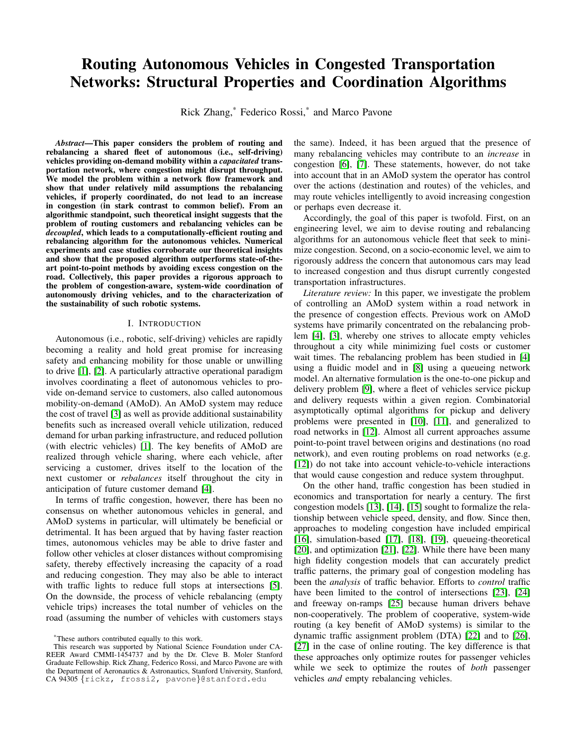# Routing Autonomous Vehicles in Congested Transportation Networks: Structural Properties and Coordination Algorithms

Rick Zhang,\* Federico Rossi,\* and Marco Pavone

*Abstract*—This paper considers the problem of routing and rebalancing a shared fleet of autonomous (i.e., self-driving) vehicles providing on-demand mobility within a *capacitated* transportation network, where congestion might disrupt throughput. We model the problem within a network flow framework and show that under relatively mild assumptions the rebalancing vehicles, if properly coordinated, do not lead to an increase in congestion (in stark contrast to common belief). From an algorithmic standpoint, such theoretical insight suggests that the problem of routing customers and rebalancing vehicles can be *decoupled*, which leads to a computationally-efficient routing and rebalancing algorithm for the autonomous vehicles. Numerical experiments and case studies corroborate our theoretical insights and show that the proposed algorithm outperforms state-of-theart point-to-point methods by avoiding excess congestion on the road. Collectively, this paper provides a rigorous approach to the problem of congestion-aware, system-wide coordination of autonomously driving vehicles, and to the characterization of the sustainability of such robotic systems.

#### I. INTRODUCTION

Autonomous (i.e., robotic, self-driving) vehicles are rapidly becoming a reality and hold great promise for increasing safety and enhancing mobility for those unable or unwilling to drive [\[1\]](#page-8-0), [\[2\]](#page-8-1). A particularly attractive operational paradigm involves coordinating a fleet of autonomous vehicles to provide on-demand service to customers, also called autonomous mobility-on-demand (AMoD). An AMoD system may reduce the cost of travel [\[3\]](#page-8-2) as well as provide additional sustainability benefits such as increased overall vehicle utilization, reduced demand for urban parking infrastructure, and reduced pollution (with electric vehicles) [\[1\]](#page-8-0). The key benefits of AMoD are realized through vehicle sharing, where each vehicle, after servicing a customer, drives itself to the location of the next customer or *rebalances* itself throughout the city in anticipation of future customer demand [\[4\]](#page-8-3).

In terms of traffic congestion, however, there has been no consensus on whether autonomous vehicles in general, and AMoD systems in particular, will ultimately be beneficial or detrimental. It has been argued that by having faster reaction times, autonomous vehicles may be able to drive faster and follow other vehicles at closer distances without compromising safety, thereby effectively increasing the capacity of a road and reducing congestion. They may also be able to interact with traffic lights to reduce full stops at intersections [\[5\]](#page-8-4). On the downside, the process of vehicle rebalancing (empty vehicle trips) increases the total number of vehicles on the road (assuming the number of vehicles with customers stays

the same). Indeed, it has been argued that the presence of many rebalancing vehicles may contribute to an *increase* in congestion [\[6\]](#page-8-5), [\[7\]](#page-8-6). These statements, however, do not take into account that in an AMoD system the operator has control over the actions (destination and routes) of the vehicles, and may route vehicles intelligently to avoid increasing congestion or perhaps even decrease it.

Accordingly, the goal of this paper is twofold. First, on an engineering level, we aim to devise routing and rebalancing algorithms for an autonomous vehicle fleet that seek to minimize congestion. Second, on a socio-economic level, we aim to rigorously address the concern that autonomous cars may lead to increased congestion and thus disrupt currently congested transportation infrastructures.

*Literature review:* In this paper, we investigate the problem of controlling an AMoD system within a road network in the presence of congestion effects. Previous work on AMoD systems have primarily concentrated on the rebalancing problem [\[4\]](#page-8-3), [\[3\]](#page-8-2), whereby one strives to allocate empty vehicles throughout a city while minimizing fuel costs or customer wait times. The rebalancing problem has been studied in [\[4\]](#page-8-3) using a fluidic model and in [\[8\]](#page-8-7) using a queueing network model. An alternative formulation is the one-to-one pickup and delivery problem [\[9\]](#page-8-8), where a fleet of vehicles service pickup and delivery requests within a given region. Combinatorial asymptotically optimal algorithms for pickup and delivery problems were presented in [\[10\]](#page-8-9), [\[11\]](#page-8-10), and generalized to road networks in [\[12\]](#page-8-11). Almost all current approaches assume point-to-point travel between origins and destinations (no road network), and even routing problems on road networks (e.g. [\[12\]](#page-8-11)) do not take into account vehicle-to-vehicle interactions that would cause congestion and reduce system throughput.

On the other hand, traffic congestion has been studied in economics and transportation for nearly a century. The first congestion models [\[13\]](#page-8-12), [\[14\]](#page-8-13), [\[15\]](#page-8-14) sought to formalize the relationship between vehicle speed, density, and flow. Since then, approaches to modeling congestion have included empirical [\[16\]](#page-8-15), simulation-based [\[17\]](#page-8-16), [\[18\]](#page-8-17), [\[19\]](#page-8-18), queueing-theoretical [\[20\]](#page-8-19), and optimization [\[21\]](#page-8-20), [\[22\]](#page-8-21). While there have been many high fidelity congestion models that can accurately predict traffic patterns, the primary goal of congestion modeling has been the *analysis* of traffic behavior. Efforts to *control* traffic have been limited to the control of intersections [\[23\]](#page-8-22), [\[24\]](#page-8-23) and freeway on-ramps [\[25\]](#page-8-24) because human drivers behave non-cooperatively. The problem of cooperative, system-wide routing (a key benefit of AMoD systems) is similar to the dynamic traffic assignment problem (DTA) [\[22\]](#page-8-21) and to [\[26\]](#page-8-25), [\[27\]](#page-8-26) in the case of online routing. The key difference is that these approaches only optimize routes for passenger vehicles while we seek to optimize the routes of *both* passenger vehicles *and* empty rebalancing vehicles.

<sup>\*</sup>These authors contributed equally to this work.

This research was supported by National Science Foundation under CA-REER Award CMMI-1454737 and by the Dr. Cleve B. Moler Stanford Graduate Fellowship. Rick Zhang, Federico Rossi, and Marco Pavone are with the Department of Aeronautics & Astronautics, Stanford University, Stanford, CA 94305 {rickz, frossi2, pavone}@stanford.edu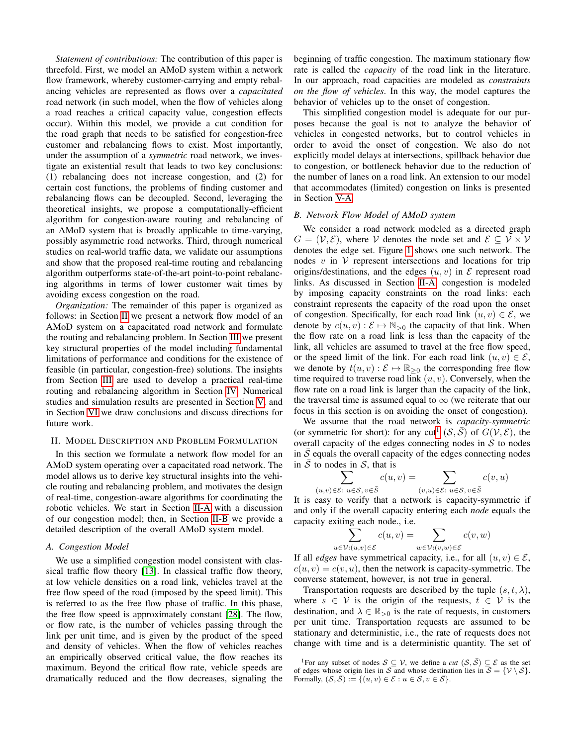*Statement of contributions:* The contribution of this paper is threefold. First, we model an AMoD system within a network flow framework, whereby customer-carrying and empty rebalancing vehicles are represented as flows over a *capacitated* road network (in such model, when the flow of vehicles along a road reaches a critical capacity value, congestion effects occur). Within this model, we provide a cut condition for the road graph that needs to be satisfied for congestion-free customer and rebalancing flows to exist. Most importantly, under the assumption of a *symmetric* road network, we investigate an existential result that leads to two key conclusions: (1) rebalancing does not increase congestion, and (2) for certain cost functions, the problems of finding customer and rebalancing flows can be decoupled. Second, leveraging the theoretical insights, we propose a computationally-efficient algorithm for congestion-aware routing and rebalancing of an AMoD system that is broadly applicable to time-varying, possibly asymmetric road networks. Third, through numerical studies on real-world traffic data, we validate our assumptions and show that the proposed real-time routing and rebalancing algorithm outperforms state-of-the-art point-to-point rebalancing algorithms in terms of lower customer wait times by avoiding excess congestion on the road.

*Organization:* The remainder of this paper is organized as follows: in Section [II](#page-1-0) we present a network flow model of an AMoD system on a capacitated road network and formulate the routing and rebalancing problem. In Section [III](#page-3-0) we present key structural properties of the model including fundamental limitations of performance and conditions for the existence of feasible (in particular, congestion-free) solutions. The insights from Section [III](#page-3-0) are used to develop a practical real-time routing and rebalancing algorithm in Section [IV.](#page-5-0) Numerical studies and simulation results are presented in Section [V,](#page-6-0) and in Section [VI](#page-7-0) we draw conclusions and discuss directions for future work.

## <span id="page-1-0"></span>II. MODEL DESCRIPTION AND PROBLEM FORMULATION

In this section we formulate a network flow model for an AMoD system operating over a capacitated road network. The model allows us to derive key structural insights into the vehicle routing and rebalancing problem, and motivates the design of real-time, congestion-aware algorithms for coordinating the robotic vehicles. We start in Section [II-A](#page-1-1) with a discussion of our congestion model; then, in Section [II-B](#page-1-2) we provide a detailed description of the overall AMoD system model.

#### <span id="page-1-1"></span>*A. Congestion Model*

We use a simplified congestion model consistent with classical traffic flow theory [\[13\]](#page-8-12). In classical traffic flow theory, at low vehicle densities on a road link, vehicles travel at the free flow speed of the road (imposed by the speed limit). This is referred to as the free flow phase of traffic. In this phase, the free flow speed is approximately constant [\[28\]](#page-8-27). The flow, or flow rate, is the number of vehicles passing through the link per unit time, and is given by the product of the speed and density of vehicles. When the flow of vehicles reaches an empirically observed critical value, the flow reaches its maximum. Beyond the critical flow rate, vehicle speeds are dramatically reduced and the flow decreases, signaling the beginning of traffic congestion. The maximum stationary flow rate is called the *capacity* of the road link in the literature. In our approach, road capacities are modeled as *constraints on the flow of vehicles*. In this way, the model captures the behavior of vehicles up to the onset of congestion.

This simplified congestion model is adequate for our purposes because the goal is not to analyze the behavior of vehicles in congested networks, but to control vehicles in order to avoid the onset of congestion. We also do not explicitly model delays at intersections, spillback behavior due to congestion, or bottleneck behavior due to the reduction of the number of lanes on a road link. An extension to our model that accommodates (limited) congestion on links is presented in Section [V-A.](#page-6-1)

#### <span id="page-1-2"></span>*B. Network Flow Model of AMoD system*

We consider a road network modeled as a directed graph  $G = (\mathcal{V}, \mathcal{E})$ , where V denotes the node set and  $\mathcal{E} \subseteq \mathcal{V} \times \mathcal{V}$ denotes the edge set. Figure [1](#page-2-0) shows one such network. The nodes  $v$  in  $V$  represent intersections and locations for trip origins/destinations, and the edges  $(u, v)$  in  $\mathcal E$  represent road links. As discussed in Section [II-A,](#page-1-1) congestion is modeled by imposing capacity constraints on the road links: each constraint represents the capacity of the road upon the onset of congestion. Specifically, for each road link  $(u, v) \in \mathcal{E}$ , we denote by  $c(u, v) : \mathcal{E} \mapsto \mathbb{N}_{>0}$  the capacity of that link. When the flow rate on a road link is less than the capacity of the link, all vehicles are assumed to travel at the free flow speed, or the speed limit of the link. For each road link  $(u, v) \in \mathcal{E}$ , we denote by  $t(u, v) : \mathcal{E} \mapsto \mathbb{R}_{\geq 0}$  the corresponding free flow time required to traverse road link  $(u, v)$ . Conversely, when the flow rate on a road link is larger than the capacity of the link, the traversal time is assumed equal to  $\infty$  (we reiterate that our focus in this section is on avoiding the onset of congestion).

We assume that the road network is *capacity-symmetric* (or symmetric for short): for any cut<sup>[1](#page-1-3)</sup>  $(S, \overline{S})$  of  $G(V, \mathcal{E})$ , the overall capacity of the edges connecting nodes in  $S$  to nodes in  $\overline{S}$  equals the overall capacity of the edges connecting nodes in  $\overline{S}$  to nodes in S, that is

$$
\sum_{\in \mathcal{E}: u \in \mathcal{S}, v \in \overline{\mathcal{S}}} c(u, v) = \sum_{(v, u) \in \mathcal{E}: u \in \mathcal{S}, v \in \overline{\mathcal{S}}} c(v, u)
$$

It is easy to verify that a network is capacity-symmetric if and only if the overall capacity entering each *node* equals the capacity exiting each node., i.e.

 $(u,v)$ 

 $u \in$ 

$$
\sum_{\mathcal{V}: (u,v) \in \mathcal{E}} c(u,v) = \sum_{w \in \mathcal{V}: (v,w) \in \mathcal{E}} c(v,w)
$$

If all *edges* have symmetrical capacity, i.e., for all  $(u, v) \in \mathcal{E}$ ,  $c(u, v) = c(v, u)$ , then the network is capacity-symmetric. The converse statement, however, is not true in general.

Transportation requests are described by the tuple  $(s, t, \lambda)$ , where  $s \in V$  is the origin of the requests,  $t \in V$  is the destination, and  $\lambda \in \mathbb{R}_{>0}$  is the rate of requests, in customers per unit time. Transportation requests are assumed to be stationary and deterministic, i.e., the rate of requests does not change with time and is a deterministic quantity. The set of

<span id="page-1-3"></span><sup>&</sup>lt;sup>1</sup>For any subset of nodes  $S \subseteq V$ , we define a *cut*  $(S,\bar{S}) \subseteq \mathcal{E}$  as the set of edges whose origin lies in  $S$  and whose destination lies in  $\overline{S} = \{V \setminus S\}.$ Formally,  $(S, \overline{S}) := \{(u, v) \in \mathcal{E} : u \in \mathcal{S}, v \in \overline{S}\}.$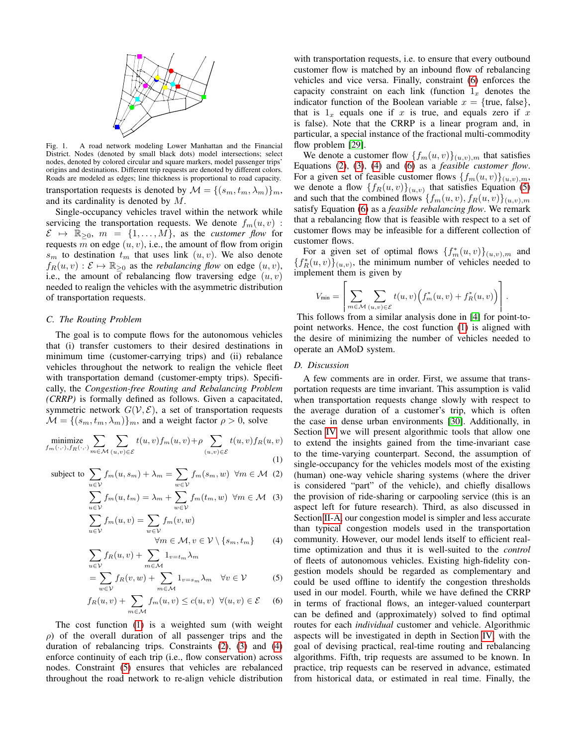

Fig. 1. A road network modeling Lower Manhattan and the Financial District. Nodes (denoted by small black dots) model intersections; select nodes, denoted by colored circular and square markers, model passenger trips' origins and destinations. Different trip requests are denoted by different colors. Roads are modeled as edges; line thickness is proportional to road capacity. transportation requests is denoted by  $\mathcal{M} = \{(s_m, t_m, \lambda_m)\}_m$ , and its cardinality is denoted by M.

Single-occupancy vehicles travel within the network while servicing the transportation requests. We denote  $f_m(u, v)$ :  $\mathcal{E} \mapsto \mathbb{R}_{\geq 0}, m = \{1, \ldots, M\},$  as the *customer flow* for requests m on edge  $(u, v)$ , i.e., the amount of flow from origin  $s_m$  to destination  $t_m$  that uses link  $(u, v)$ . We also denote  $f_R(u, v) : \mathcal{E} \mapsto \mathbb{R}_{\geq 0}$  as the *rebalancing flow* on edge  $(u, v)$ , i.e., the amount of rebalancing flow traversing edge  $(u, v)$ needed to realign the vehicles with the asymmetric distribution of transportation requests.

#### *C. The Routing Problem*

The goal is to compute flows for the autonomous vehicles that (i) transfer customers to their desired destinations in minimum time (customer-carrying trips) and (ii) rebalance vehicles throughout the network to realign the vehicle fleet with transportation demand (customer-empty trips). Specifically, the *Congestion-free Routing and Rebalancing Problem (CRRP)* is formally defined as follows. Given a capacitated, symmetric network  $G(V, \mathcal{E})$ , a set of transportation requests  $\mathcal{M} = \{ (s_m, t_m, \lambda_m) \}_m$ , and a weight factor  $\rho > 0$ , solve

$$
\underset{f_m(\cdot,\cdot),f_R(\cdot,\cdot)}{\text{minimize}} \sum_{m \in \mathcal{M}} \sum_{(u,v) \in \mathcal{E}} t(u,v) f_m(u,v) + \rho \sum_{(u,v) \in \mathcal{E}} t(u,v) f_R(u,v) \tag{1}
$$

subject to 
$$
\sum_{u \in \mathcal{V}} f_m(u, s_m) + \lambda_m = \sum_{w \in \mathcal{V}} f_m(s_m, w) \ \forall m \in \mathcal{M} \ (2)
$$

$$
\sum_{u \in \mathcal{V}} f_m(u, t_m) = \lambda_m + \sum_{w \in \mathcal{V}} f_m(t_m, w) \quad \forall m \in \mathcal{M} \quad (3)
$$
\n
$$
\sum_{u \in \mathcal{V}} f_m(u, v) = \sum_{w \in \mathcal{V}} f_m(v, w)
$$
\n
$$
\forall m \in \mathcal{M}, v \in \mathcal{V} \setminus \{s_m, t_m\} \qquad (4)
$$

<span id="page-2-5"></span>
$$
\sum_{u \in \mathcal{V}} f_R(u, v) + \sum_{m \in \mathcal{M}} 1_{v = t_m} \lambda_m
$$
  
= 
$$
\sum_{w \in \mathcal{V}} f_R(v, w) + \sum_{m \in \mathcal{M}} 1_{v = s_m} \lambda_m \quad \forall v \in \mathcal{V}
$$
 (5)

<span id="page-2-6"></span>
$$
f_R(u,v) + \sum_{m \in \mathcal{M}} f_m(u,v) \le c(u,v) \ \forall (u,v) \in \mathcal{E} \quad (6)
$$

The cost function [\(1\)](#page-2-1) is a weighted sum (with weight  $\rho$ ) of the overall duration of all passenger trips and the duration of rebalancing trips. Constraints [\(2\)](#page-2-2), [\(3\)](#page-2-3) and [\(4\)](#page-2-4) enforce continuity of each trip (i.e., flow conservation) across nodes. Constraint [\(5\)](#page-2-5) ensures that vehicles are rebalanced throughout the road network to re-align vehicle distribution

with transportation requests, i.e. to ensure that every outbound customer flow is matched by an inbound flow of rebalancing vehicles and vice versa. Finally, constraint [\(6\)](#page-2-6) enforces the capacity constraint on each link (function  $1<sub>x</sub>$  denotes the indicator function of the Boolean variable  $x = \{true, false\}$ , that is  $1_x$  equals one if x is true, and equals zero if x is false). Note that the CRRP is a linear program and, in particular, a special instance of the fractional multi-commodity flow problem [\[29\]](#page-8-28).

<span id="page-2-0"></span>We denote a customer flow  $\{f_m(u, v)\}_{(u, v), m}$  that satisfies Equations [\(2\)](#page-2-2), [\(3\)](#page-2-3), [\(4\)](#page-2-4) and [\(6\)](#page-2-6) as a *feasible customer flow*. For a given set of feasible customer flows  $\{f_m(u, v)\}_{(u, v), m}$ , we denote a flow  $\{f_R(u, v)\}_{(u, v)}$  that satisfies Equation [\(5\)](#page-2-5) and such that the combined flows  $\{f_m(u, v), f_R(u, v)\}_{(u, v), m}$ satisfy Equation [\(6\)](#page-2-6) as a *feasible rebalancing flow*. We remark that a rebalancing flow that is feasible with respect to a set of customer flows may be infeasible for a different collection of customer flows.

For a given set of optimal flows  $\{f_m^*(u, v)\}_{(u, v), m}$  and  ${f_R^*(u, v)}_{(u, v)}$ , the minimum number of vehicles needed to implement them is given by

$$
V_{\min} = \left[ \sum_{m \in \mathcal{M}} \sum_{(u,v) \in \mathcal{E}} t(u,v) \Big( f_m^*(u,v) + f_R^*(u,v) \Big) \right].
$$

This follows from a similar analysis done in [\[4\]](#page-8-3) for point-topoint networks. Hence, the cost function [\(1\)](#page-2-1) is aligned with the desire of minimizing the number of vehicles needed to operate an AMoD system.

#### *D. Discussion*

<span id="page-2-4"></span><span id="page-2-3"></span><span id="page-2-2"></span><span id="page-2-1"></span>A few comments are in order. First, we assume that transportation requests are time invariant. This assumption is valid when transportation requests change slowly with respect to the average duration of a customer's trip, which is often the case in dense urban environments [\[30\]](#page-8-29). Additionally, in Section [IV](#page-5-0) we will present algorithmic tools that allow one to extend the insights gained from the time-invariant case to the time-varying counterpart. Second, the assumption of single-occupancy for the vehicles models most of the existing (human) one-way vehicle sharing systems (where the driver is considered "part" of the vehicle), and chiefly disallows the provision of ride-sharing or carpooling service (this is an aspect left for future research). Third, as also discussed in Section [II-A,](#page-1-1) our congestion model is simpler and less accurate than typical congestion models used in the transportation community. However, our model lends itself to efficient realtime optimization and thus it is well-suited to the *control* of fleets of autonomous vehicles. Existing high-fidelity congestion models should be regarded as complementary and could be used offline to identify the congestion thresholds used in our model. Fourth, while we have defined the CRRP in terms of fractional flows, an integer-valued counterpart can be defined and (approximately) solved to find optimal routes for each *individual* customer and vehicle. Algorithmic aspects will be investigated in depth in Section [IV,](#page-5-0) with the goal of devising practical, real-time routing and rebalancing algorithms. Fifth, trip requests are assumed to be known. In practice, trip requests can be reserved in advance, estimated from historical data, or estimated in real time. Finally, the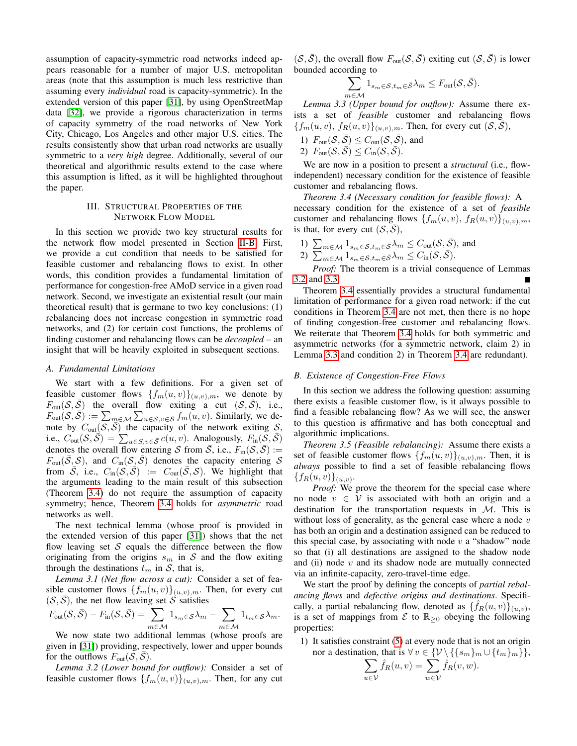assumption of capacity-symmetric road networks indeed appears reasonable for a number of major U.S. metropolitan areas (note that this assumption is much less restrictive than assuming every *individual* road is capacity-symmetric). In the extended version of this paper [\[31\]](#page-8-30), by using OpenStreetMap data [\[32\]](#page-8-31), we provide a rigorous characterization in terms of capacity symmetry of the road networks of New York City, Chicago, Los Angeles and other major U.S. cities. The results consistently show that urban road networks are usually symmetric to a *very high* degree. Additionally, several of our theoretical and algorithmic results extend to the case where this assumption is lifted, as it will be highlighted throughout the paper.

## III. STRUCTURAL PROPERTIES OF THE NETWORK FLOW MODEL

<span id="page-3-0"></span>In this section we provide two key structural results for the network flow model presented in Section [II-B.](#page-1-2) First, we provide a cut condition that needs to be satisfied for feasible customer and rebalancing flows to exist. In other words, this condition provides a fundamental limitation of performance for congestion-free AMoD service in a given road network. Second, we investigate an existential result (our main theoretical result) that is germane to two key conclusions: (1) rebalancing does not increase congestion in symmetric road networks, and (2) for certain cost functions, the problems of finding customer and rebalancing flows can be *decoupled* – an insight that will be heavily exploited in subsequent sections.

## *A. Fundamental Limitations*

We start with a few definitions. For a given set of feasible customer flows  $\{f_m(u, v)\}_{(u, v), m}$ , we denote by  $F_{\text{out}}(\mathcal{S}, \bar{\mathcal{S}})$  the overall flow exiting a cut  $(\mathcal{S}, \bar{\mathcal{S}})$ , i.e.,  $F_{out}(S, \overline{S}) := \sum_{m \in \mathcal{M}} \sum_{u \in S, v \in \overline{S}} f_m(u, v)$ . Similarly, we denote by  $C_{out}(\overline{S}, \overline{S})$  the capacity of the network exiting S, i.e.,  $C_{out}(\mathcal{S}, \mathcal{S}) = \sum_{u \in S, v \in \mathcal{S}} c(u, v)$ . Analogously,  $F_{in}(\mathcal{S}, \mathcal{S})$ denotes the overall flow entering S from  $\overline{S}$ , i.e.,  $F_{in}(S, \overline{S}) :=$  $F_{\text{out}}(\bar{S}, S)$ , and  $C_{\text{in}}(S, \bar{S})$  denotes the capacity entering S from  $\overline{S}$ , i.e.,  $C_{in}(S, \overline{S})$  :=  $C_{out}(\overline{S}, S)$ . We highlight that the arguments leading to the main result of this subsection (Theorem [3.4\)](#page-3-1) do not require the assumption of capacity symmetry; hence, Theorem [3.4](#page-3-1) holds for *asymmetric* road networks as well.

The next technical lemma (whose proof is provided in the extended version of this paper [\[31\]](#page-8-30)) shows that the net flow leaving set  $S$  equals the difference between the flow originating from the origins  $s_m$  in S and the flow exiting through the destinations  $t_m$  in  $S$ , that is,

*Lemma 3.1 (Net flow across a cut):* Consider a set of feasible customer flows  $\{f_m(u, v)\}_{(u, v), m}$ . Then, for every cut  $(S, \overline{S})$ , the net flow leaving set S satisfies

$$
F_{\text{out}}(\mathcal{S}, \bar{\mathcal{S}}) - F_{\text{in}}(\mathcal{S}, \bar{\mathcal{S}}) = \sum_{m \in \mathcal{M}} 1_{s_m \in \mathcal{S}} \lambda_m - \sum_{m \in \mathcal{M}} 1_{t_m \in \mathcal{S}} \lambda_m.
$$
  
We now state two additional leaves (where

We now state two additional lemmas (whose proofs are given in [\[31\]](#page-8-30)) providing, respectively, lower and upper bounds for the outflows  $F_{\text{out}}(\mathcal{S}, \overline{\mathcal{S}})$ .

<span id="page-3-2"></span>*Lemma 3.2 (Lower bound for outflow):* Consider a set of feasible customer flows  $\{f_m(u, v)\}_{(u, v), m}$ . Then, for any cut

 $(S, \overline{S})$ , the overall flow  $F_{out}(S, \overline{S})$  exiting cut  $(S, \overline{S})$  is lower bounded according to

$$
\sum_{m \in \mathcal{M}} 1_{s_m \in \mathcal{S}, t_m \in \bar{\mathcal{S}}} \lambda_m \leq F_{\text{out}}(\mathcal{S}, \bar{\mathcal{S}}).
$$

<span id="page-3-3"></span>*Lemma 3.3 (Upper bound for outflow):* Assume there exists a set of *feasible* customer and rebalancing flows  ${f_m(u, v), f_R(u, v)}_{(u, v), m}$ . Then, for every cut  $(S, \overline{S}),$ 

1) 
$$
F_{\text{out}}(\mathcal{S}, \bar{\mathcal{S}}) \leq C_{\text{out}}(\mathcal{S}, \bar{\mathcal{S}})
$$
, and

2)  $F_{\text{out}}(\mathcal{S}, \bar{\mathcal{S}}) \leq C_{\text{in}}(\mathcal{S}, \bar{\mathcal{S}}).$ 

We are now in a position to present a *structural* (i.e., flowindependent) necessary condition for the existence of feasible customer and rebalancing flows.

<span id="page-3-1"></span>*Theorem 3.4 (Necessary condition for feasible flows):* A necessary condition for the existence of a set of *feasible* customer and rebalancing flows  $\{f_m(u, v), f_R(u, v)\}_{(u, v), m}$ , is that, for every cut  $(S,\overline{S})$ ,

- 1)  $\sum_{m \in \mathcal{M}} 1_{s_m \in \mathcal{S}, t_m \in \bar{\mathcal{S}}} \lambda_m \leq C_{\text{out}}(\mathcal{S}, \bar{\mathcal{S}})$ , and
- 2)  $\sum_{m\in\mathcal{M}}^{\infty} 1_{s_m\in\mathcal{S},t_m\in\bar{\mathcal{S}}}\lambda_m \leq C_{\text{in}}(\mathcal{S},\bar{\mathcal{S}}).$

*Proof:* The theorem is a trivial consequence of Lemmas [3.2](#page-3-2) and [3.3.](#page-3-3)

Theorem [3.4](#page-3-1) essentially provides a structural fundamental limitation of performance for a given road network: if the cut conditions in Theorem [3.4](#page-3-1) are not met, then there is no hope of finding congestion-free customer and rebalancing flows. We reiterate that Theorem [3.4](#page-3-1) holds for both symmetric and asymmetric networks (for a symmetric network, claim 2) in Lemma [3.3](#page-3-3) and condition 2) in Theorem [3.4](#page-3-1) are redundant).

## *B. Existence of Congestion-Free Flows*

In this section we address the following question: assuming there exists a feasible customer flow, is it always possible to find a feasible rebalancing flow? As we will see, the answer to this question is affirmative and has both conceptual and algorithmic implications.

<span id="page-3-4"></span>*Theorem 3.5 (Feasible rebalancing):* Assume there exists a set of feasible customer flows  $\{f_m(u, v)\}_{(u, v), m}$ . Then, it is *always* possible to find a set of feasible rebalancing flows  ${f_R(u,v)}_{(u,v)}$ .

*Proof:* We prove the theorem for the special case where no node  $v \in V$  is associated with both an origin and a destination for the transportation requests in  $M$ . This is without loss of generality, as the general case where a node  $v$ has both an origin and a destination assigned can be reduced to this special case, by associating with node  $v$  a "shadow" node so that (i) all destinations are assigned to the shadow node and (ii) node  $v$  and its shadow node are mutually connected via an infinite-capacity, zero-travel-time edge.

<span id="page-3-5"></span>We start the proof by defining the concepts of *partial rebalancing flows* and *defective origins and destinations*. Specifically, a partial rebalancing flow, denoted as  $\{\hat{f}_R(u,v)\}_{(u,v)}$ , is a set of mappings from  $\mathcal E$  to  $\mathbb R_{\geq 0}$  obeying the following properties:

1) It satisfies constraint [\(5\)](#page-2-5) at every node that is not an origin nor a destination, that is  $\forall v \in \{V \setminus \{\{s_m\}_m \cup \{t_m\}_m\}\},$ 

$$
\sum_{u \in \mathcal{V}} \hat{f}_R(u, v) = \sum_{w \in \mathcal{V}} \hat{f}_R(v, w).
$$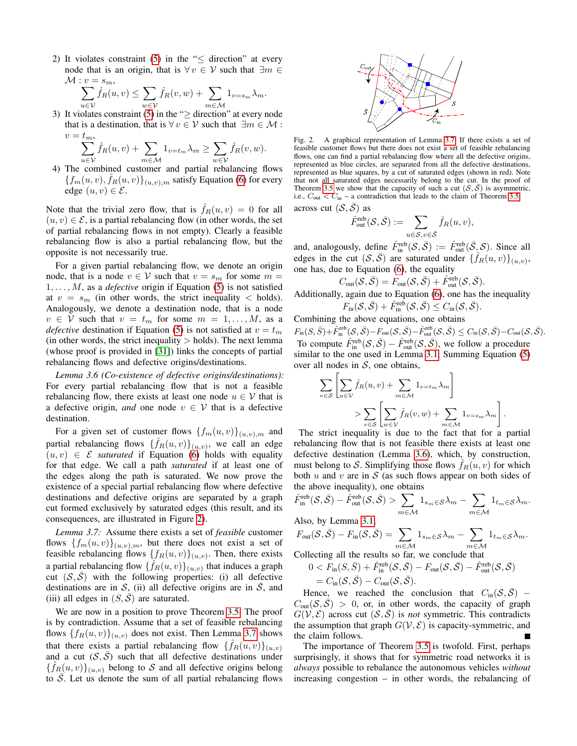2) It violates constraint [\(5\)](#page-2-5) in the " $\leq$  direction" at every node that is an origin, that is  $\forall v \in V$  such that  $\exists m \in V$  $\mathcal{M}: v = s_m,$ 

$$
\sum_{u \in \mathcal{V}} \hat{f}_R(u, v) \le \sum_{w \in \mathcal{V}} \hat{f}_R(v, w) + \sum_{m \in \mathcal{M}} 1_{v = s_m} \lambda_m.
$$

3) It violates constraint [\(5\)](#page-2-5) in the " $\geq$  direction" at every node that is a destination, that is  $\forall v \in V$  such that  $\exists m \in \mathcal{M}$ :  $v=t_m,$ 

$$
\sum_{u \in \mathcal{V}}^{\infty} \hat{f}_R(u, v) + \sum_{m \in \mathcal{M}} 1_{v = t_m} \lambda_m \ge \sum_{w \in \mathcal{V}} \hat{f}_R(v, w).
$$

4) The combined customer and partial rebalancing flows  ${f_m(u, v), \hat{f}_R(u, v)}_{(u, v), m}$  satisfy Equation [\(6\)](#page-2-6) for every edge  $(u, v) \in \mathcal{E}$ .

Note that the trivial zero flow, that is  $f_R(u, v) = 0$  for all  $(u, v) \in \mathcal{E}$ , is a partial rebalancing flow (in other words, the set of partial rebalancing flows in not empty). Clearly a feasible rebalancing flow is also a partial rebalancing flow, but the opposite is not necessarily true.

For a given partial rebalancing flow, we denote an origin node, that is a node  $v \in V$  such that  $v = s_m$  for some  $m =$  $1, \ldots, M$ , as a *defective* origin if Equation [\(5\)](#page-2-5) is not satisfied at  $v = s_m$  (in other words, the strict inequality  $\lt$  holds). Analogously, we denote a destination node, that is a node  $v \in V$  such that  $v = t_m$  for some  $m = 1, \ldots, M$ , as a *defective* destination if Equation [\(5\)](#page-2-5) is not satisfied at  $v = t_m$ (in other words, the strict inequality  $>$  holds). The next lemma (whose proof is provided in [\[31\]](#page-8-30)) links the concepts of partial rebalancing flows and defective origins/destinations.

<span id="page-4-2"></span>*Lemma 3.6 (Co-existence of defective origins/destinations):* For every partial rebalancing flow that is not a feasible rebalancing flow, there exists at least one node  $u \in V$  that is a defective origin, *and* one node  $v \in V$  that is a defective destination.

For a given set of customer flows  $\{f_m(u, v)\}_{(u, v), m}$  and partial rebalancing flows  $\{\hat{f}_R(u,v)\}_{(u,v)}$ , we call an edge  $(u, v) \in \mathcal{E}$  *saturated* if Equation [\(6\)](#page-2-6) holds with equality for that edge. We call a path *saturated* if at least one of the edges along the path is saturated. We now prove the existence of a special partial rebalancing flow where defective destinations and defective origins are separated by a graph cut formed exclusively by saturated edges (this result, and its consequences, are illustrated in Figure [2\)](#page-4-0).

<span id="page-4-1"></span>*Lemma 3.7:* Assume there exists a set of *feasible* customer flows  $\{f_m(u, v)\}_{(u, v), m}$ , but there does not exist a set of feasible rebalancing flows  $\{f_R(u, v)\}_{(u, v)}$ . Then, there exists a partial rebalancing flow  $\{\hat{f}_R(u,v)\}_{(u,v)}$  that induces a graph cut  $(S, \overline{S})$  with the following properties: (i) all defective destinations are in S, (ii) all defective origins are in  $\overline{S}$ , and (iii) all edges in  $(S,\bar{S})$  are saturated.

We are now in a position to prove Theorem [3.5.](#page-3-4) The proof is by contradiction. Assume that a set of feasible rebalancing flows  $\{f_R(u, v)\}_{(u, v)}$  does not exist. Then Lemma [3.7](#page-4-1) shows that there exists a partial rebalancing flow  $\{\hat{f}_R(u,v)\}_{(u,v)}$ and a cut  $(S, \overline{S})$  such that all defective destinations under  $\{\hat{f}_R(u,v)\}_{(u,v)}$  belong to S and all defective origins belong to  $\overline{S}$ . Let us denote the sum of all partial rebalancing flows

<span id="page-4-0"></span>

Fig. 2. A graphical representation of Lemma [3.7.](#page-4-1) If there exists a set of feasible customer flows but there does not exist a set of feasible rebalancing flows, one can find a partial rebalancing flow where all the defective origins, represented as blue circles, are separated from all the defective destinations, represented as blue squares, by a cut of saturated edges (shown in red). Note that not all saturated edges necessarily belong to the cut. In the proof of Theorem [3.5](#page-3-4) we show that the capacity of such a cut  $(S,\bar{S})$  is asymmetric, i.e.,  $C_{\text{out}} < C_{\text{in}}$  – a contradiction that leads to the claim of Theorem [3.5.](#page-3-4)

across cut  $(S, \overline{S})$  as

$$
\hat{F}_{\text{out}}^{\text{reb}}(\mathcal{S}, \bar{\mathcal{S}}) := \sum_{u \in \mathcal{S}, v \in \bar{\mathcal{S}}} \hat{f}_R(u, v),
$$

and, analogously, define  $\hat{F}_{\text{in}}^{\text{reb}}(\mathcal{S},\bar{\mathcal{S}}) := \hat{F}_{\text{out}}^{\text{reb}}(\bar{\mathcal{S}},\mathcal{S})$ . Since all edges in the cut  $(S,\bar{S})$  are saturated under  $\{\hat{f}_R(u,v)\}_{(u,v)}$ , one has, due to Equation [\(6\)](#page-2-6), the equality

$$
C_{\text{out}}(\mathcal{S}, \bar{\mathcal{S}}) = F_{\text{out}}(\mathcal{S}, \bar{\mathcal{S}}) + \hat{F}_{\text{out}}^{\text{reb}}(\mathcal{S}, \bar{\mathcal{S}}).
$$

Additionally, again due to Equation [\(6\)](#page-2-6), one has the inequality  $F_{\text{in}}(\mathcal{S}, \bar{\mathcal{S}}) + \hat{F}_{\text{in}}^{\text{reb}}(\mathcal{S}, \bar{\mathcal{S}}) \leq C_{\text{in}}(\mathcal{S}, \bar{\mathcal{S}}).$ 

Combining the above equations, one obtains  $F_{\text{in}}(S,\bar{S})+\hat{F}^{\text{reb}}_{\text{in}}(\mathcal{S},\bar{\mathcal{S}})-F_{\text{out}}(\mathcal{S},\bar{\mathcal{S}})-\hat{F}^{\text{reb}}_{\text{out}}(\mathcal{S},\bar{\mathcal{S}})\leq C_{\text{in}}(\mathcal{S},\bar{\mathcal{S}})-C_{\text{out}}(\mathcal{S},\bar{\mathcal{S}}).$ To compute  $\hat{F}_{\text{in}}^{\text{reb}}(\mathcal{S}, \bar{\mathcal{S}}) - \hat{F}_{\text{out}}^{\text{reb}}(\mathcal{S}, \bar{\mathcal{S}})$ , we follow a procedure similar to the one used in Lemma [3.1.](#page-3-5) Summing Equation [\(5\)](#page-2-5) over all nodes in  $S$ , one obtains,

$$
\sum_{v \in S} \left[ \sum_{u \in \mathcal{V}} \hat{f}_R(u, v) + \sum_{m \in \mathcal{M}} 1_{v = t_m} \lambda_m \right]
$$
  
> 
$$
\sum_{v \in S} \left[ \sum_{w \in \mathcal{V}} \hat{f}_R(v, w) + \sum_{m \in \mathcal{M}} 1_{v = s_m} \lambda_m \right].
$$

The strict inequality is due to the fact that for a partial rebalancing flow that is not feasible there exists at least one defective destination (Lemma [3.6\)](#page-4-2), which, by construction, must belong to S. Simplifying those flows  $\hat{f}_R(u, v)$  for which both  $u$  and  $v$  are in  $S$  (as such flows appear on both sides of the above inequality), one obtains

$$
\hat{F}_{\text{in}}^{\text{reb}}(\mathcal{S},\bar{\mathcal{S}})-\hat{F}_{\text{out}}^{\text{reb}}(\mathcal{S},\bar{\mathcal{S}})>\sum_{m\in\mathcal{M}}1_{s_m\in\mathcal{S}}\lambda_m-\sum_{m\in\mathcal{M}}1_{t_m\in\mathcal{S}}\lambda_m.
$$

Also, by Lemma [3.1,](#page-3-5)

$$
F_{\text{out}}(\mathcal{S}, \bar{\mathcal{S}}) - F_{\text{in}}(\mathcal{S}, \bar{\mathcal{S}}) = \sum_{m \in \mathcal{M}} 1_{s_m \in \mathcal{S}} \lambda_m - \sum_{m \in \mathcal{M}} 1_{t_m \in \mathcal{S}} \lambda_m.
$$
  
Collecting all the results so far we conclude that

$$
0 < F_{\text{in}}(S, \bar{S}) + \hat{F}_{\text{in}}^{\text{reb}}(S, \bar{S}) - F_{\text{out}}(S, \bar{S}) - \hat{F}_{\text{out}}^{\text{reb}}(S, \bar{S})
$$
\n
$$
= C_{\text{in}}(S, \bar{S}) - C_{\text{out}}(S, \bar{S}).
$$

Hence, we reached the conclusion that  $C_{\text{in}}(\mathcal{S}, \overline{\mathcal{S}})$  –  $C_{\text{out}}(\mathcal{S}, \bar{\mathcal{S}}) > 0$ , or, in other words, the capacity of graph  $G(V, \mathcal{E})$  across cut  $(\mathcal{S}, \bar{\mathcal{S}})$  is *not* symmetric. This contradicts the assumption that graph  $G(V, \mathcal{E})$  is capacity-symmetric, and the claim follows.

The importance of Theorem [3.5](#page-3-4) is twofold. First, perhaps surprisingly, it shows that for symmetric road networks it is *always* possible to rebalance the autonomous vehicles *without* increasing congestion – in other words, the rebalancing of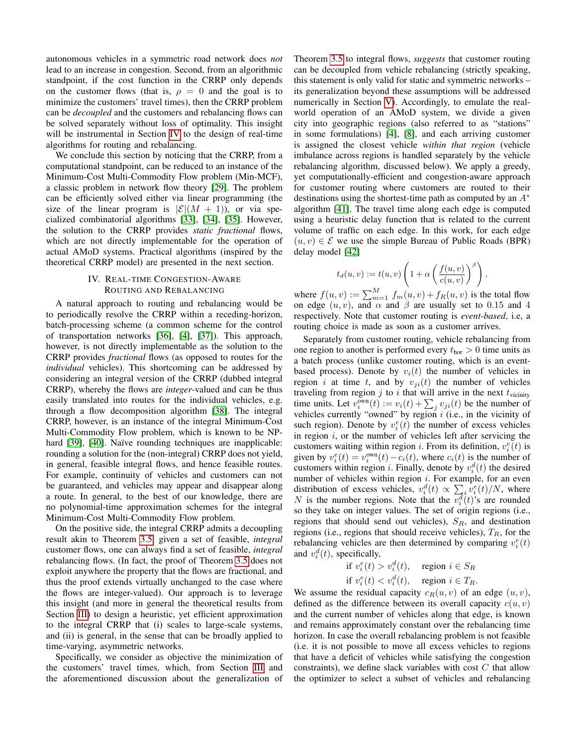autonomous vehicles in a symmetric road network does *not* lead to an increase in congestion. Second, from an algorithmic standpoint, if the cost function in the CRRP only depends on the customer flows (that is,  $\rho = 0$  and the goal is to minimize the customers' travel times), then the CRRP problem can be *decoupled* and the customers and rebalancing flows can be solved separately without loss of optimality. This insight will be instrumental in Section [IV](#page-5-0) to the design of real-time algorithms for routing and rebalancing.

We conclude this section by noticing that the CRRP, from a computational standpoint, can be reduced to an instance of the Minimum-Cost Multi-Commodity Flow problem (Min-MCF), a classic problem in network flow theory [\[29\]](#page-8-28). The problem can be efficiently solved either via linear programming (the size of the linear program is  $|\mathcal{E}|(M + 1)$ , or via specialized combinatorial algorithms [\[33\]](#page-8-32), [\[34\]](#page-8-33), [\[35\]](#page-8-34). However, the solution to the CRRP provides *static fractional* flows, which are not directly implementable for the operation of actual AMoD systems. Practical algorithms (inspired by the theoretical CRRP model) are presented in the next section.

## IV. REAL-TIME CONGESTION-AWARE ROUTING AND REBALANCING

<span id="page-5-0"></span>A natural approach to routing and rebalancing would be to periodically resolve the CRRP within a receding-horizon, batch-processing scheme (a common scheme for the control of transportation networks [\[36\]](#page-8-35), [\[4\]](#page-8-3), [\[37\]](#page-8-36)). This approach, however, is not directly implementable as the solution to the CRRP provides *fractional* flows (as opposed to routes for the *individual* vehicles). This shortcoming can be addressed by considering an integral version of the CRRP (dubbed integral CRRP), whereby the flows are *integer*-valued and can be thus easily translated into routes for the individual vehicles, e.g. through a flow decomposition algorithm [\[38\]](#page-8-37). The integral CRRP, however, is an instance of the integral Minimum-Cost Multi-Commodity Flow problem, which is known to be NP-hard [\[39\]](#page-8-38), [\[40\]](#page-8-39). Naïve rounding techniques are inapplicable: rounding a solution for the (non-integral) CRRP does not yield, in general, feasible integral flows, and hence feasible routes. For example, continuity of vehicles and customers can not be guaranteed, and vehicles may appear and disappear along a route. In general, to the best of our knowledge, there are no polynomial-time approximation schemes for the integral Minimum-Cost Multi-Commodity Flow problem.

On the positive side, the integral CRRP admits a decoupling result akin to Theorem [3.5:](#page-3-4) given a set of feasible, *integral* customer flows, one can always find a set of feasible, *integral* rebalancing flows. (In fact, the proof of Theorem [3.5](#page-3-4) does not exploit anywhere the property that the flows are fractional, and thus the proof extends virtually unchanged to the case where the flows are integer-valued). Our approach is to leverage this insight (and more in general the theoretical results from Section [III\)](#page-3-0) to design a heuristic, yet efficient approximation to the integral CRRP that (i) scales to large-scale systems, and (ii) is general, in the sense that can be broadly applied to time-varying, asymmetric networks.

Specifically, we consider as objective the minimization of the customers' travel times, which, from Section [III](#page-3-0) and the aforementioned discussion about the generalization of Theorem [3.5](#page-3-4) to integral flows, *suggests* that customer routing can be decoupled from vehicle rebalancing (strictly speaking, this statement is only valid for static and symmetric networks – its generalization beyond these assumptions will be addressed numerically in Section [V\)](#page-6-0). Accordingly, to emulate the realworld operation of an AMoD system, we divide a given city into geographic regions (also referred to as "stations" in some formulations) [\[4\]](#page-8-3), [\[8\]](#page-8-7), and each arriving customer is assigned the closest vehicle *within that region* (vehicle imbalance across regions is handled separately by the vehicle rebalancing algorithm, discussed below). We apply a greedy, yet computationally-efficient and congestion-aware approach for customer routing where customers are routed to their destinations using the shortest-time path as computed by an  $A^*$ algorithm [\[41\]](#page-8-40). The travel time along each edge is computed using a heuristic delay function that is related to the current volume of traffic on each edge. In this work, for each edge  $(u, v) \in \mathcal{E}$  we use the simple Bureau of Public Roads (BPR) delay model [\[42\]](#page-8-41)

$$
t_d(u,v) := t(u,v) \left(1 + \alpha \left(\frac{f(u,v)}{c(u,v)}\right)^{\beta}\right),\,
$$

where  $f(u, v) := \sum_{m=1}^{M} f_m(u, v) + f_R(u, v)$  is the total flow on edge  $(u, v)$ , and  $\alpha$  and  $\beta$  are usually set to 0.15 and 4 respectively. Note that customer routing is *event-based*, i.e, a routing choice is made as soon as a customer arrives.

Separately from customer routing, vehicle rebalancing from one region to another is performed every  $t_{\text{hor}} > 0$  time units as a batch process (unlike customer routing, which is an eventbased process). Denote by  $v_i(t)$  the number of vehicles in region i at time t, and by  $v_{ji}(t)$  the number of vehicles traveling from region  $j$  to  $i$  that will arrive in the next  $t_{\text{vicinity}}$ time units. Let  $v_i^{\text{own}}(t) := v_i(t) + \sum_j v_{ji}(t)$  be the number of vehicles currently "owned" by region  $i$  (i.e., in the vicinity of such region). Denote by  $v_i^e(t)$  the number of excess vehicles in region  $i$ , or the number of vehicles left after servicing the customers waiting within region *i*. From its definition,  $v_i^e(t)$  is given by  $v_i^e(t) = v_i^{\text{own}}(t) - c_i(t)$ , where  $c_i(t)$  is the number of customers within region *i*. Finally, denote by  $v_i^d(t)$  the desired number of vehicles within region *i*. For example, for an even distribution of excess vehicles,  $v_i^d(t) \propto \sum_i v_i^e(t)/N$ , where N is the number regions. Note that the  $\overline{v_i^d}(t)$ 's are rounded so they take on integer values. The set of origin regions (i.e., regions that should send out vehicles),  $S_R$ , and destination regions (i.e., regions that should receive vehicles),  $T_R$ , for the rebalancing vehicles are then determined by comparing  $v_i^e(t)$ and  $v_i^d(t)$ , specifically,

$$
\begin{aligned} \text{if } v_i^e(t) > v_i^d(t), \quad \text{region } i \in S_R\\ \text{if } v_i^e(t) < v_i^d(t), \quad \text{region } i \in T_R. \end{aligned}
$$

We assume the residual capacity  $c_R(u, v)$  of an edge  $(u, v)$ , defined as the difference between its overall capacity  $c(u, v)$ and the current number of vehicles along that edge, is known and remains approximately constant over the rebalancing time horizon. In case the overall rebalancing problem is not feasible (i.e. it is not possible to move all excess vehicles to regions that have a deficit of vehicles while satisfying the congestion constraints), we define slack variables with cost  $C$  that allow the optimizer to select a subset of vehicles and rebalancing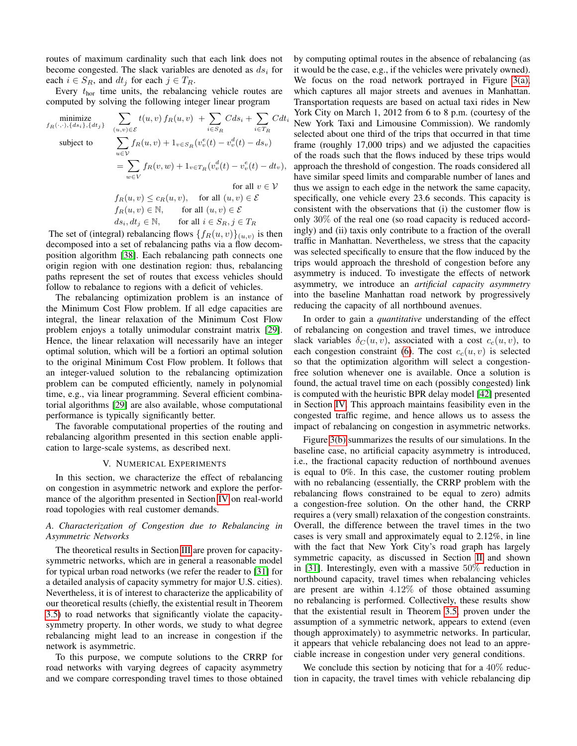routes of maximum cardinality such that each link does not become congested. The slack variables are denoted as  $ds_i$  for each  $i \in S_R$ , and  $dt_j$  for each  $j \in T_R$ .

Every  $t_{\text{hor}}$  time units, the rebalancing vehicle routes are computed by solving the following integer linear program

minimize  
\n
$$
f_R(\cdot, \cdot), \{ds_i\}, \{dt_j\}
$$
\n
$$
\sum_{(u,v) \in \mathcal{E}} t(u, v) f_R(u, v) + \sum_{i \in S_R} Cds_i + \sum_{i \in T_R} Cdt_i
$$
\nsubject to  
\n
$$
\sum_{u \in V} f_R(u, v) + 1_{v \in S_R} (v_v^e(t) - v_v^d(t) - ds_v)
$$
\n
$$
= \sum_{w \in V} f_R(v, w) + 1_{v \in T_R} (v_v^d(t) - v_v^e(t) - dt_v),
$$
\nfor all  $v \in V$   
\n
$$
f_R(u, v) \le c_R(u, v), \quad \text{for all } (u, v) \in \mathcal{E}
$$
\n
$$
f_R(u, v) \in \mathbb{N}, \quad \text{for all } (u, v) \in \mathcal{E}
$$
\n
$$
ds_i, dt_j \in \mathbb{N}, \quad \text{for all } i \in S_R, j \in T_R
$$

The set of (integral) rebalancing flows  $\{f_R(u, v)\}_{(u, v)}$  is then decomposed into a set of rebalancing paths via a flow decomposition algorithm [\[38\]](#page-8-37). Each rebalancing path connects one origin region with one destination region: thus, rebalancing paths represent the set of routes that excess vehicles should follow to rebalance to regions with a deficit of vehicles.

The rebalancing optimization problem is an instance of the Minimum Cost Flow problem. If all edge capacities are integral, the linear relaxation of the Minimum Cost Flow problem enjoys a totally unimodular constraint matrix [\[29\]](#page-8-28). Hence, the linear relaxation will necessarily have an integer optimal solution, which will be a fortiori an optimal solution to the original Minimum Cost Flow problem. It follows that an integer-valued solution to the rebalancing optimization problem can be computed efficiently, namely in polynomial time, e.g., via linear programming. Several efficient combinatorial algorithms [\[29\]](#page-8-28) are also available, whose computational performance is typically significantly better.

The favorable computational properties of the routing and rebalancing algorithm presented in this section enable application to large-scale systems, as described next.

#### V. NUMERICAL EXPERIMENTS

<span id="page-6-0"></span>In this section, we characterize the effect of rebalancing on congestion in asymmetric network and explore the performance of the algorithm presented in Section [IV](#page-5-0) on real-world road topologies with real customer demands.

## <span id="page-6-1"></span>*A. Characterization of Congestion due to Rebalancing in Asymmetric Networks*

The theoretical results in Section [III](#page-3-0) are proven for capacitysymmetric networks, which are in general a reasonable model for typical urban road networks (we refer the reader to [\[31\]](#page-8-30) for a detailed analysis of capacity symmetry for major U.S. cities). Nevertheless, it is of interest to characterize the applicability of our theoretical results (chiefly, the existential result in Theorem [3.5\)](#page-3-4) to road networks that significantly violate the capacitysymmetry property. In other words, we study to what degree rebalancing might lead to an increase in congestion if the network is asymmetric.

To this purpose, we compute solutions to the CRRP for road networks with varying degrees of capacity asymmetry and we compare corresponding travel times to those obtained

by computing optimal routes in the absence of rebalancing (as it would be the case, e.g., if the vehicles were privately owned). We focus on the road network portrayed in Figure [3\(a\),](#page-7-1) which captures all major streets and avenues in Manhattan. Transportation requests are based on actual taxi rides in New York City on March 1, 2012 from 6 to 8 p.m. (courtesy of the New York Taxi and Limousine Commission). We randomly selected about one third of the trips that occurred in that time frame (roughly 17,000 trips) and we adjusted the capacities of the roads such that the flows induced by these trips would approach the threshold of congestion. The roads considered all have similar speed limits and comparable number of lanes and thus we assign to each edge in the network the same capacity, specifically, one vehicle every 23.6 seconds. This capacity is consistent with the observations that (i) the customer flow is only 30% of the real one (so road capacity is reduced accordingly) and (ii) taxis only contribute to a fraction of the overall traffic in Manhattan. Nevertheless, we stress that the capacity was selected specifically to ensure that the flow induced by the trips would approach the threshold of congestion before any asymmetry is induced. To investigate the effects of network asymmetry, we introduce an *artificial capacity asymmetry* into the baseline Manhattan road network by progressively reducing the capacity of all northbound avenues.

In order to gain a *quantitative* understanding of the effect of rebalancing on congestion and travel times, we introduce slack variables  $\delta_C(u, v)$ , associated with a cost  $c_c(u, v)$ , to each congestion constraint [\(6\)](#page-2-6). The cost  $c_c(u, v)$  is selected so that the optimization algorithm will select a congestionfree solution whenever one is available. Once a solution is found, the actual travel time on each (possibly congested) link is computed with the heuristic BPR delay model [\[42\]](#page-8-41) presented in Section [IV.](#page-5-0) This approach maintains feasibility even in the congested traffic regime, and hence allows us to assess the impact of rebalancing on congestion in asymmetric networks.

Figure [3\(b\)](#page-7-2) summarizes the results of our simulations. In the baseline case, no artificial capacity asymmetry is introduced, i.e., the fractional capacity reduction of northbound avenues is equal to 0%. In this case, the customer routing problem with no rebalancing (essentially, the CRRP problem with the rebalancing flows constrained to be equal to zero) admits a congestion-free solution. On the other hand, the CRRP requires a (very small) relaxation of the congestion constraints. Overall, the difference between the travel times in the two cases is very small and approximately equal to 2.12%, in line with the fact that New York City's road graph has largely symmetric capacity, as discussed in Section [II](#page-1-0) and shown in [\[31\]](#page-8-30). Interestingly, even with a massive 50% reduction in northbound capacity, travel times when rebalancing vehicles are present are within 4.12% of those obtained assuming no rebalancing is performed. Collectively, these results show that the existential result in Theorem [3.5,](#page-3-4) proven under the assumption of a symmetric network, appears to extend (even though approximately) to asymmetric networks. In particular, it appears that vehicle rebalancing does not lead to an appreciable increase in congestion under very general conditions.

We conclude this section by noticing that for a  $40\%$  reduction in capacity, the travel times with vehicle rebalancing dip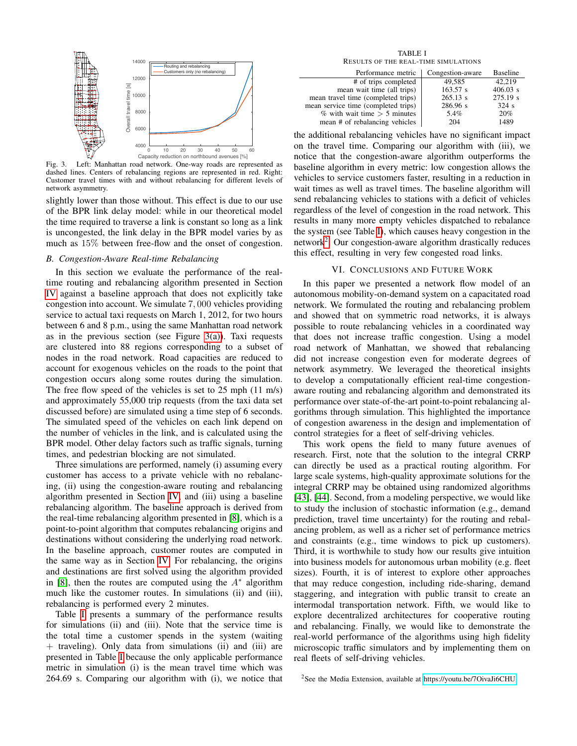<span id="page-7-1"></span>

<span id="page-7-2"></span>Fig. 3. Left: Manhattan road network. One-way roads are represented as dashed lines. Centers of rebalancing regions are represented in red. Right: Customer travel times with and without rebalancing for different levels of network asymmetry.

slightly lower than those without. This effect is due to our use of the BPR link delay model: while in our theoretical model the time required to traverse a link is constant so long as a link is uncongested, the link delay in the BPR model varies by as much as 15% between free-flow and the onset of congestion.

## *B. Congestion-Aware Real-time Rebalancing*

In this section we evaluate the performance of the realtime routing and rebalancing algorithm presented in Section [IV](#page-5-0) against a baseline approach that does not explicitly take congestion into account. We simulate 7, 000 vehicles providing service to actual taxi requests on March 1, 2012, for two hours between 6 and 8 p.m., using the same Manhattan road network as in the previous section (see Figure  $3(a)$ ). Taxi requests are clustered into 88 regions corresponding to a subset of nodes in the road network. Road capacities are reduced to account for exogenous vehicles on the roads to the point that congestion occurs along some routes during the simulation. The free flow speed of the vehicles is set to 25 mph (11 m/s) and approximately 55,000 trip requests (from the taxi data set discussed before) are simulated using a time step of 6 seconds. The simulated speed of the vehicles on each link depend on the number of vehicles in the link, and is calculated using the BPR model. Other delay factors such as traffic signals, turning times, and pedestrian blocking are not simulated.

Three simulations are performed, namely (i) assuming every customer has access to a private vehicle with no rebalancing, (ii) using the congestion-aware routing and rebalancing algorithm presented in Section [IV,](#page-5-0) and (iii) using a baseline rebalancing algorithm. The baseline approach is derived from the real-time rebalancing algorithm presented in [\[8\]](#page-8-7), which is a point-to-point algorithm that computes rebalancing origins and destinations without considering the underlying road network. In the baseline approach, customer routes are computed in the same way as in Section [IV.](#page-5-0) For rebalancing, the origins and destinations are first solved using the algorithm provided in [\[8\]](#page-8-7), then the routes are computed using the  $A^*$  algorithm much like the customer routes. In simulations (ii) and (iii), rebalancing is performed every 2 minutes.

Table [I](#page-7-3) presents a summary of the performance results for simulations (ii) and (iii). Note that the service time is the total time a customer spends in the system (waiting + traveling). Only data from simulations (ii) and (iii) are presented in Table [I](#page-7-3) because the only applicable performance metric in simulation (i) is the mean travel time which was 264.69 s. Comparing our algorithm with (i), we notice that

TABLE I RESULTS OF THE REAL-TIME SIMULATIONS

<span id="page-7-3"></span>

| Performance metric                  | Congestion-aware | <b>Baseline</b> |
|-------------------------------------|------------------|-----------------|
| # of trips completed                | 49.585           | 42.219          |
| mean wait time (all trips)          | $163.57$ s       | $406.03$ s      |
| mean travel time (completed trips)  | $265.13$ s       | 275.19 s        |
| mean service time (completed trips) | 286.96 s         | $324 \text{ s}$ |
| $\%$ with wait time $> 5$ minutes   | 5.4%             | 20%             |
| mean # of rebalancing vehicles      | 204              | 1489            |

the additional rebalancing vehicles have no significant impact on the travel time. Comparing our algorithm with (iii), we notice that the congestion-aware algorithm outperforms the baseline algorithm in every metric: low congestion allows the vehicles to service customers faster, resulting in a reduction in wait times as well as travel times. The baseline algorithm will send rebalancing vehicles to stations with a deficit of vehicles regardless of the level of congestion in the road network. This results in many more empty vehicles dispatched to rebalance the system (see Table [I\)](#page-7-3), which causes heavy congestion in the network<sup>[2](#page-7-4)</sup>. Our congestion-aware algorithm drastically reduces this effect, resulting in very few congested road links.

## VI. CONCLUSIONS AND FUTURE WORK

<span id="page-7-0"></span>In this paper we presented a network flow model of an autonomous mobility-on-demand system on a capacitated road network. We formulated the routing and rebalancing problem and showed that on symmetric road networks, it is always possible to route rebalancing vehicles in a coordinated way that does not increase traffic congestion. Using a model road network of Manhattan, we showed that rebalancing did not increase congestion even for moderate degrees of network asymmetry. We leveraged the theoretical insights to develop a computationally efficient real-time congestionaware routing and rebalancing algorithm and demonstrated its performance over state-of-the-art point-to-point rebalancing algorithms through simulation. This highlighted the importance of congestion awareness in the design and implementation of control strategies for a fleet of self-driving vehicles.

This work opens the field to many future avenues of research. First, note that the solution to the integral CRRP can directly be used as a practical routing algorithm. For large scale systems, high-quality approximate solutions for the integral CRRP may be obtained using randomized algorithms [\[43\]](#page-8-42), [\[44\]](#page-8-43). Second, from a modeling perspective, we would like to study the inclusion of stochastic information (e.g., demand prediction, travel time uncertainty) for the routing and rebalancing problem, as well as a richer set of performance metrics and constraints (e.g., time windows to pick up customers). Third, it is worthwhile to study how our results give intuition into business models for autonomous urban mobility (e.g. fleet sizes). Fourth, it is of interest to explore other approaches that may reduce congestion, including ride-sharing, demand staggering, and integration with public transit to create an intermodal transportation network. Fifth, we would like to explore decentralized architectures for cooperative routing and rebalancing. Finally, we would like to demonstrate the real-world performance of the algorithms using high fidelity microscopic traffic simulators and by implementing them on real fleets of self-driving vehicles.

<span id="page-7-4"></span><sup>2</sup>See the Media Extension, available at<https://youtu.be/7OivaJi6CHU>